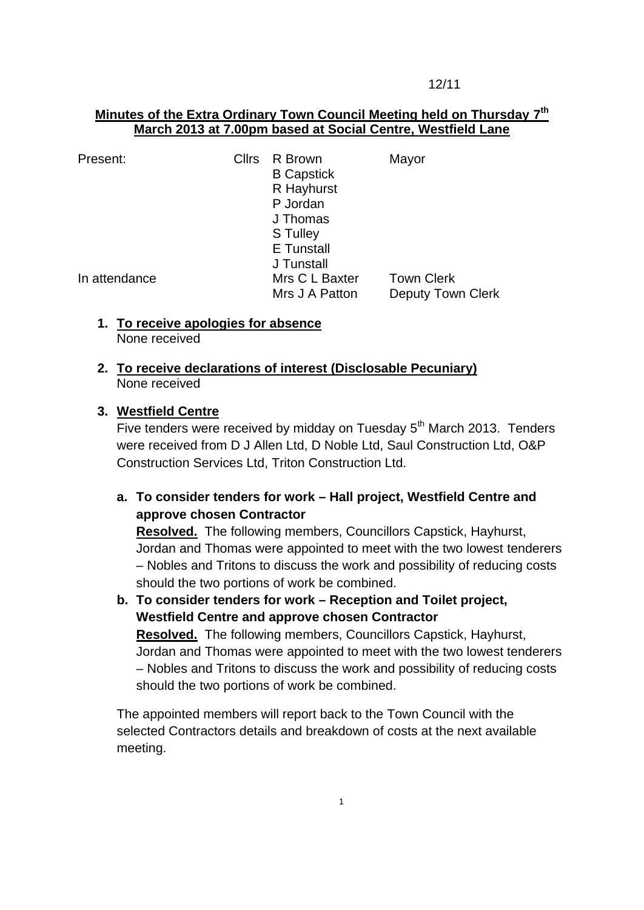12/11

### **Minutes of the Extra Ordinary Town Council Meeting held on Thursday 7 th March 2013 at 7.00pm based at Social Centre, Westfield Lane**

| Present:      | <b>Cllrs</b> | R Brown<br><b>B</b> Capstick<br>R Hayhurst<br>P Jordan<br>J Thomas<br>S Tulley | Mayor                                         |
|---------------|--------------|--------------------------------------------------------------------------------|-----------------------------------------------|
|               |              | E Tunstall<br>J Tunstall                                                       |                                               |
| In attendance |              | Mrs C L Baxter<br>Mrs J A Patton                                               | <b>Town Clerk</b><br><b>Deputy Town Clerk</b> |

**1. To receive apologies for absence** None received

#### **2. To receive declarations of interest (Disclosable Pecuniary)** None received

### **3. Westfield Centre**

Five tenders were received by midday on Tuesday  $5<sup>th</sup>$  March 2013. Tenders were received from D J Allen Ltd, D Noble Ltd, Saul Construction Ltd, O&P Construction Services Ltd, Triton Construction Ltd.

# **a. To consider tenders for work – Hall project, Westfield Centre and approve chosen Contractor**

**Resolved.** The following members, Councillors Capstick, Hayhurst, Jordan and Thomas were appointed to meet with the two lowest tenderers – Nobles and Tritons to discuss the work and possibility of reducing costs should the two portions of work be combined.

**b. To consider tenders for work – Reception and Toilet project, Westfield Centre and approve chosen Contractor Resolved.** The following members, Councillors Capstick, Hayhurst, Jordan and Thomas were appointed to meet with the two lowest tenderers – Nobles and Tritons to discuss the work and possibility of reducing costs should the two portions of work be combined.

The appointed members will report back to the Town Council with the selected Contractors details and breakdown of costs at the next available meeting.